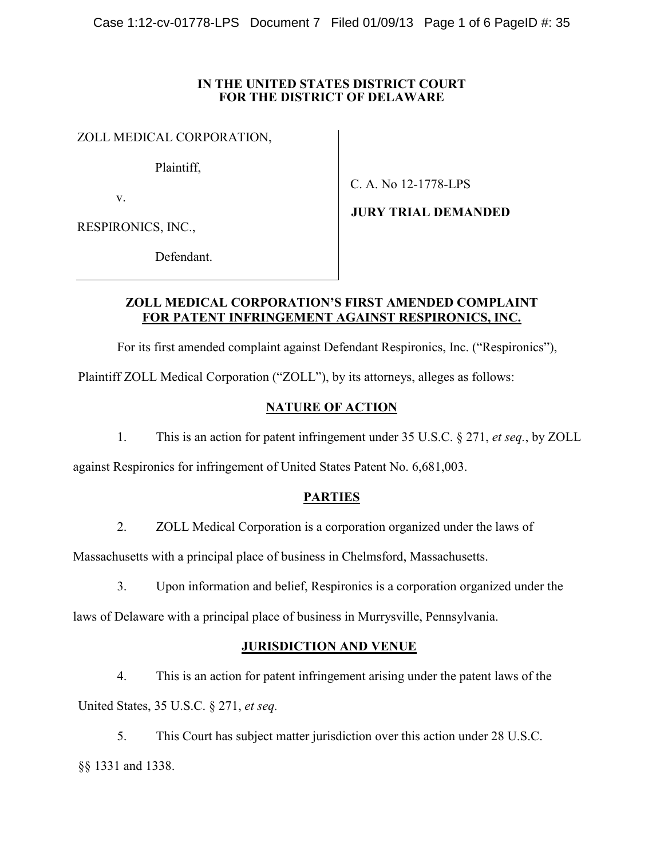### IN THE UNITED STATES DISTRICT COURT FOR THE DISTRICT OF DELAWARE

ZOLL MEDICAL CORPORATION,

Plaintiff,

v.

C. A. No 12-1778-LPS

RESPIRONICS, INC.,

Defendant.

JURY TRIAL DEMANDED

## ZOLL MEDICAL CORPORATION'S FIRST AMENDED COMPLAINT FOR PATENT INFRINGEMENT AGAINST RESPIRONICS, INC.

For its first amended complaint against Defendant Respironics, Inc. ("Respironics"),

Plaintiff ZOLL Medical Corporation ("ZOLL"), by its attorneys, alleges as follows:

# NATURE OF ACTION

1. This is an action for patent infringement under 35 U.S.C. § 271, et seq., by ZOLL

against Respironics for infringement of United States Patent No. 6,681,003.

# PARTIES

2. ZOLL Medical Corporation is a corporation organized under the laws of

Massachusetts with a principal place of business in Chelmsford, Massachusetts.

3. Upon information and belief, Respironics is a corporation organized under the

laws of Delaware with a principal place of business in Murrysville, Pennsylvania.

# JURISDICTION AND VENUE

4. This is an action for patent infringement arising under the patent laws of the United States, 35 U.S.C. § 271, et seq.

5. This Court has subject matter jurisdiction over this action under 28 U.S.C. §§ 1331 and 1338.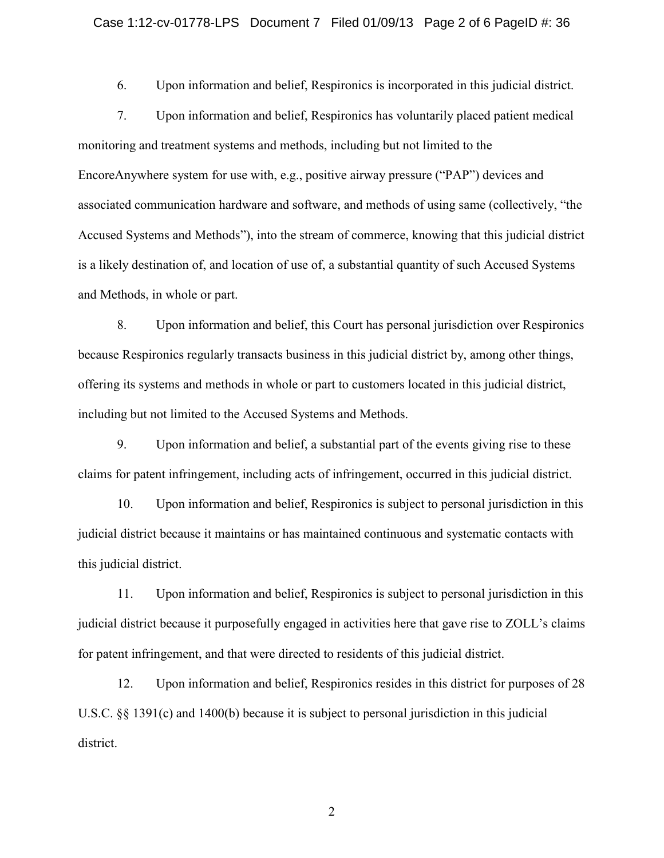#### Case 1:12-cv-01778-LPS Document 7 Filed 01/09/13 Page 2 of 6 PageID #: 36

6. Upon information and belief, Respironics is incorporated in this judicial district.

7. Upon information and belief, Respironics has voluntarily placed patient medical monitoring and treatment systems and methods, including but not limited to the EncoreAnywhere system for use with, e.g., positive airway pressure ("PAP") devices and associated communication hardware and software, and methods of using same (collectively, "the Accused Systems and Methods"), into the stream of commerce, knowing that this judicial district is a likely destination of, and location of use of, a substantial quantity of such Accused Systems and Methods, in whole or part.

8. Upon information and belief, this Court has personal jurisdiction over Respironics because Respironics regularly transacts business in this judicial district by, among other things, offering its systems and methods in whole or part to customers located in this judicial district, including but not limited to the Accused Systems and Methods.

9. Upon information and belief, a substantial part of the events giving rise to these claims for patent infringement, including acts of infringement, occurred in this judicial district.

10. Upon information and belief, Respironics is subject to personal jurisdiction in this judicial district because it maintains or has maintained continuous and systematic contacts with this judicial district.

11. Upon information and belief, Respironics is subject to personal jurisdiction in this judicial district because it purposefully engaged in activities here that gave rise to ZOLL's claims for patent infringement, and that were directed to residents of this judicial district.

12. Upon information and belief, Respironics resides in this district for purposes of 28 U.S.C. §§ 1391(c) and 1400(b) because it is subject to personal jurisdiction in this judicial district.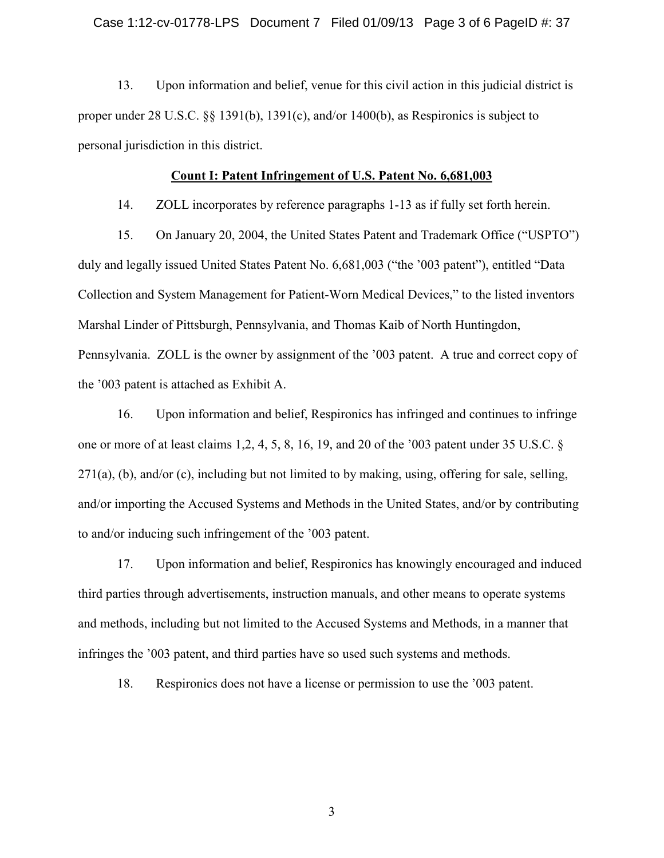13. Upon information and belief, venue for this civil action in this judicial district is proper under 28 U.S.C. §§ 1391(b), 1391(c), and/or 1400(b), as Respironics is subject to personal jurisdiction in this district.

### Count I: Patent Infringement of U.S. Patent No. 6,681,003

14. ZOLL incorporates by reference paragraphs 1-13 as if fully set forth herein.

15. On January 20, 2004, the United States Patent and Trademark Office ("USPTO") duly and legally issued United States Patent No. 6,681,003 ("the '003 patent"), entitled "Data Collection and System Management for Patient-Worn Medical Devices," to the listed inventors Marshal Linder of Pittsburgh, Pennsylvania, and Thomas Kaib of North Huntingdon, Pennsylvania. ZOLL is the owner by assignment of the '003 patent. A true and correct copy of the '003 patent is attached as Exhibit A.

16. Upon information and belief, Respironics has infringed and continues to infringe one or more of at least claims 1,2, 4, 5, 8, 16, 19, and 20 of the '003 patent under 35 U.S.C. §  $271(a)$ , (b), and/or (c), including but not limited to by making, using, offering for sale, selling, and/or importing the Accused Systems and Methods in the United States, and/or by contributing to and/or inducing such infringement of the '003 patent.

17. Upon information and belief, Respironics has knowingly encouraged and induced third parties through advertisements, instruction manuals, and other means to operate systems and methods, including but not limited to the Accused Systems and Methods, in a manner that infringes the '003 patent, and third parties have so used such systems and methods.

18. Respironics does not have a license or permission to use the '003 patent.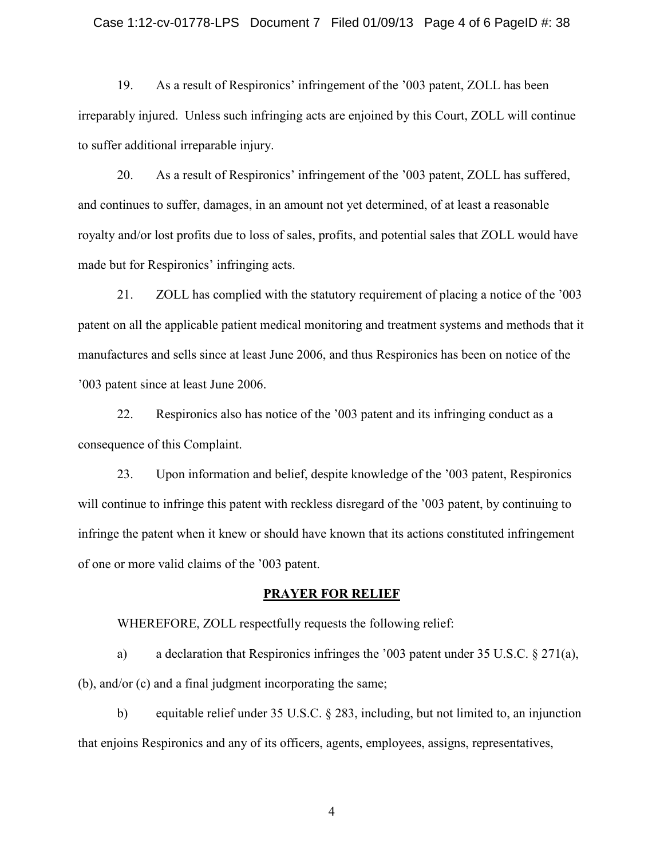#### Case 1:12-cv-01778-LPS Document 7 Filed 01/09/13 Page 4 of 6 PageID #: 38

19. As a result of Respironics' infringement of the '003 patent, ZOLL has been irreparably injured. Unless such infringing acts are enjoined by this Court, ZOLL will continue to suffer additional irreparable injury.

20. As a result of Respironics' infringement of the '003 patent, ZOLL has suffered, and continues to suffer, damages, in an amount not yet determined, of at least a reasonable royalty and/or lost profits due to loss of sales, profits, and potential sales that ZOLL would have made but for Respironics' infringing acts.

21. ZOLL has complied with the statutory requirement of placing a notice of the '003 patent on all the applicable patient medical monitoring and treatment systems and methods that it manufactures and sells since at least June 2006, and thus Respironics has been on notice of the '003 patent since at least June 2006.

22. Respironics also has notice of the '003 patent and its infringing conduct as a consequence of this Complaint.

23. Upon information and belief, despite knowledge of the '003 patent, Respironics will continue to infringe this patent with reckless disregard of the '003 patent, by continuing to infringe the patent when it knew or should have known that its actions constituted infringement of one or more valid claims of the '003 patent.

#### PRAYER FOR RELIEF

WHEREFORE, ZOLL respectfully requests the following relief:

a) a declaration that Respironics infringes the '003 patent under 35 U.S.C. § 271(a), (b), and/or (c) and a final judgment incorporating the same;

b) equitable relief under 35 U.S.C. § 283, including, but not limited to, an injunction that enjoins Respironics and any of its officers, agents, employees, assigns, representatives,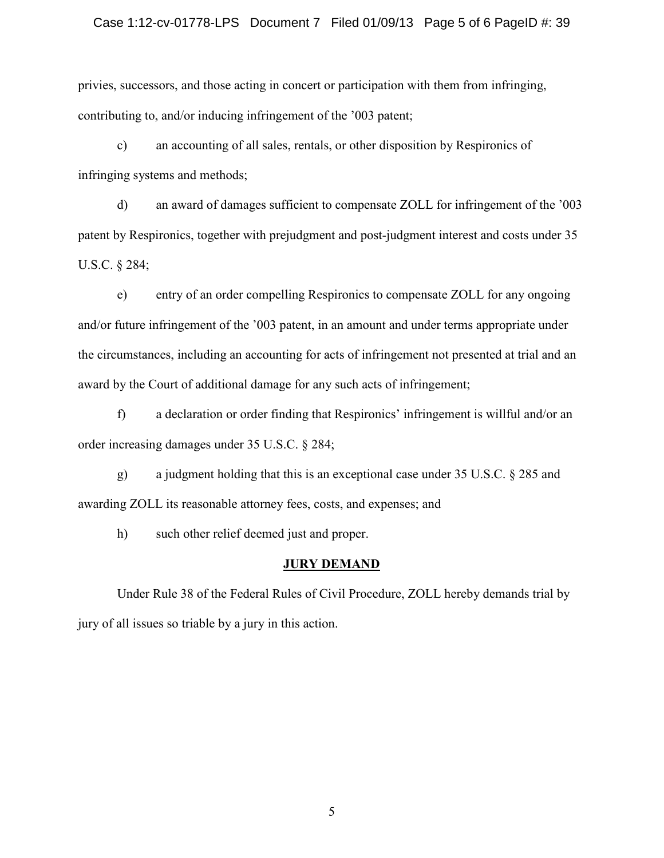#### Case 1:12-cv-01778-LPS Document 7 Filed 01/09/13 Page 5 of 6 PageID #: 39

privies, successors, and those acting in concert or participation with them from infringing, contributing to, and/or inducing infringement of the '003 patent;

c) an accounting of all sales, rentals, or other disposition by Respironics of infringing systems and methods;

d) an award of damages sufficient to compensate ZOLL for infringement of the '003 patent by Respironics, together with prejudgment and post-judgment interest and costs under 35 U.S.C. § 284;

e) entry of an order compelling Respironics to compensate ZOLL for any ongoing and/or future infringement of the '003 patent, in an amount and under terms appropriate under the circumstances, including an accounting for acts of infringement not presented at trial and an award by the Court of additional damage for any such acts of infringement;

f) a declaration or order finding that Respironics' infringement is willful and/or an order increasing damages under 35 U.S.C. § 284;

g) a judgment holding that this is an exceptional case under 35 U.S.C. § 285 and awarding ZOLL its reasonable attorney fees, costs, and expenses; and

h) such other relief deemed just and proper.

### JURY DEMAND

Under Rule 38 of the Federal Rules of Civil Procedure, ZOLL hereby demands trial by jury of all issues so triable by a jury in this action.